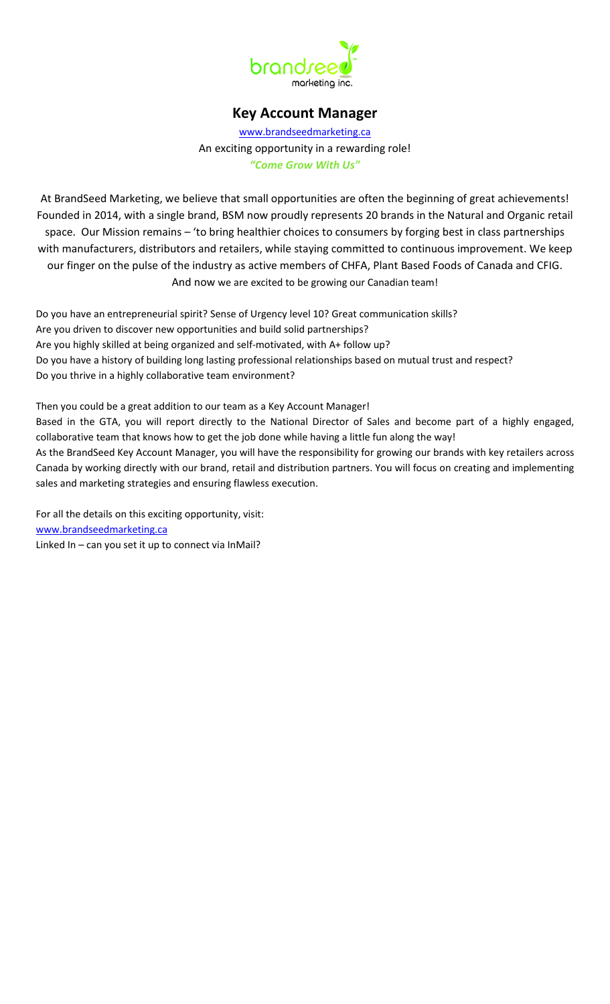

# **Key Account Manager**

[www.brandseedmarketing.ca](http://www.brandseedmarketing.ca/) An exciting opportunity in a rewarding role! *"Come Grow With Us"*

At BrandSeed Marketing, we believe that small opportunities are often the beginning of great achievements! Founded in 2014, with a single brand, BSM now proudly represents 20 brands in the Natural and Organic retail space. Our Mission remains – 'to bring healthier choices to consumers by forging best in class partnerships with manufacturers, distributors and retailers, while staying committed to continuous improvement. We keep our finger on the pulse of the industry as active members of CHFA, Plant Based Foods of Canada and CFIG. And now we are excited to be growing our Canadian team!

Do you have an entrepreneurial spirit? Sense of Urgency level 10? Great communication skills? Are you driven to discover new opportunities and build solid partnerships? Are you highly skilled at being organized and self-motivated, with A+ follow up? Do you have a history of building long lasting professional relationships based on mutual trust and respect? Do you thrive in a highly collaborative team environment?

Then you could be a great addition to our team as a Key Account Manager! Based in the GTA, you will report directly to the National Director of Sales and become part of a highly engaged, collaborative team that knows how to get the job done while having a little fun along the way! As the BrandSeed Key Account Manager, you will have the responsibility for growing our brands with key retailers across Canada by working directly with our brand, retail and distribution partners. You will focus on creating and implementing sales and marketing strategies and ensuring flawless execution.

For all the details on this exciting opportunity, visit: [www.brandseedmarketing.ca](http://www.brandseedmarketing.ca/) Linked In – can you set it up to connect via InMail?